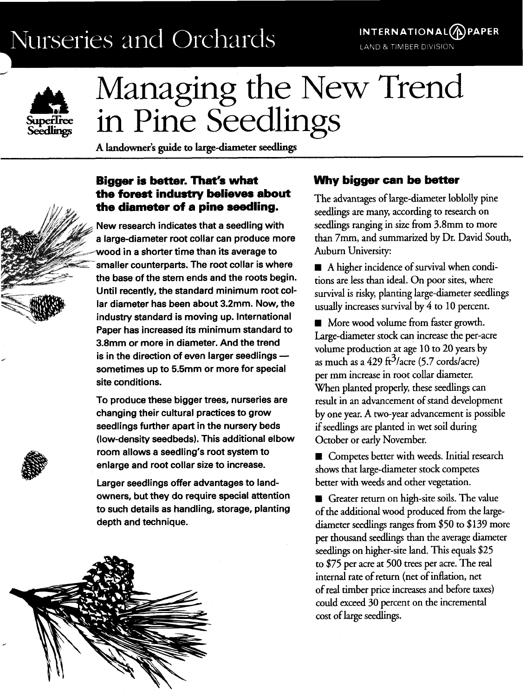## Nurseries and Orchards /





# Managing the New Trend in Pine Seedlings

**A Landowner's guide to large-diameter seedlings** 

#### **Bigger is better. That's what the forest industry believes about the diameter of a pine seedling.**

New research indicates that a seedling with a large-diameter root collar can produce more wood in a shorter time than its average to smaller counterparts. The root collar is where the base of the stem ends and the roots begin. Until recently, the standard minimum root collar diameter has been about 3.2mm. Now, the industry standard is moving up. International Paper has increased its minimum standard to 3.8mm or more in diameter. And the trend is in the direction of even larger seedlings  $$ sometimes up to 5.5mm or more for special site conditions.

To produce these bigger trees, nurseries are changing their cultural practices to grow seedlings further apart in the nursery beds (low-density seedbeds). This additional elbow room allows a seedling's root system to enlarge and root collar size to increase.

Larger seedlings offer advantages to landowners, but they do require special attention to such details as handling, storage, planting depth and technique.



#### **Why bigger can be better**

The advantages of large-diameter loblolly pine seedlings are many, according to research on seedlings ranging in size from 3.8mm to more than 7mm, and summarized by Dr. David South, Auburn University:

**H** A higher incidence of survival when conditions are less than ideal. On poor sites, where survival is risky, planting large-diameter seedlings usually increases survival by 4 to 10 percent.

**H** More wood volume from faster growth. Large-diameter stock can increase the per-acre volume production at age 10 to 20 years by as much as a 429 ft $3/2$ acre (5.7 cords/acre) per mm increase in root collar diameter. When planted properly, these seedlings can result in an advancement of stand development by one year. A two-year advancement is possible if seedlings are planted in wet soil during October or early November.

Competes better with weeds. Initial research shows that large-diameter stock competes better with weeds and other vegetation.

Greater return on high-site soils. The value of the additional wood produced from the largediameter seedlings ranges from \$50 to \$139 more per thousand seedlings than the average diameter seedlings on higher-site land. This equals \$25 to \$75 per acre at 500 trees per acre. The real internal rate of return (net of inflation, net of real timber price increases and before taxes) could exceed 30 percent on the incremental cost of large seedlings.



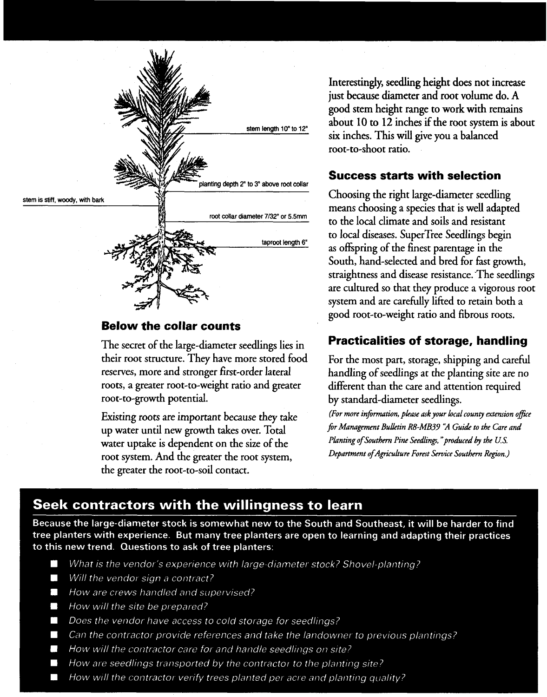

#### **Below the collar counts**

The secret of the large-diameter seedlings lies in their root structure. They have more stored food reserves, more and stronger first-order lateral roots, a greater root-to-weight ratio and greater root-to-growth potential.

Existing roots are important because they take up water until new growth takes over. Total water uptake is dependent on the size of the root system. And the greater the root system, the greater the root-to-soil contact.

Interestingly, seedling height does not increase just because diameter and root volume do. A good stem height range to work with remains about 10 to 12 inches if the root system is about six inches. This will give you a balanced root-to-shoot ratio.

#### **Success starts with selection**

Choosing the right large-diameter seedling means choosing a species that is well adapted to the local climate and soils and resistant to local diseases. SuperTree Seedlings begin as ofipring of the finest parentage in the South, hand-selected and bred for fast growth, straightness and disease resistance. 'The seedlings are cultured so that they produce a vigorous root system and are carefully lifted to retain both a good root-to-weight ratio and fibrous roots.

#### **Practicalities of storage, handling**

For the most part, storage, shipping and careful handling of seedlings at the planting site are no different than the care and attention required by standard-diameter seedlings.

*(For more in\$nnation, phase* **ask** *your local county extension ojke \$r Management BuUetin R8-MB37* **'2** *Guide to the Care and Planting of Southern Pine Seedlinp,"produced* by *the US. Department of Agriculture Forest Service Southern Region.)* 

### Seek contractors with the willingness to learn

Because the large-diameter stock is somewhat new to the South and Southeast, it will be harder to find tree planters with experience. But many tree planters are open to learning and adapting their practices to this new trend. Questions to ask of tree planters:

- $\Box$ What is the vendor's experience with large-diameter stock? Shovel-planting?
- Will the vendor sign a contract?  $\overline{\phantom{a}}$
- $\mathbb{Z}^2$ How are crews handled and supervised?
- How will the site be prepared? O
- Does the vendor have access to cold storage for seedlings? П
- Can the contractor provide references and take the landowner to previous plantings?  $\mathbb{R}^n$
- How will the contractor care for and handle seedlings on site?
- How are seedlings transported by the contractor to the planting site?
- $\Box$ How will the contractor verify trees planted per acre and planting quality?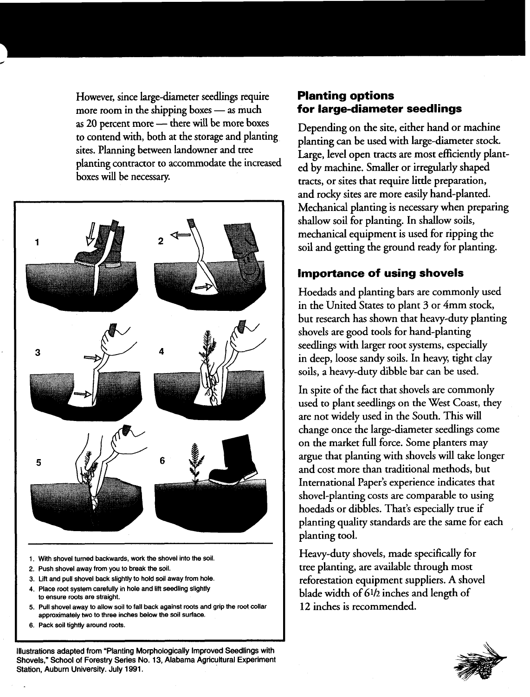However, since large-diameter seedlings require **Planting options**<br>more room in the shipping boxes — as much **for large-diameter seedlings** more room in the shipping boxes — as much<br>as 20 percent more — there will be more boxes<br>Depending on the site, either hand or machine as 20 percent more - there will be more boxes to contend with, both at the storage and planting to contend with, both at the storage and planting planting can be used with large-diameter stock.<br>sites. Planning between landowner and tree **business large land grap tracts are most efficiently plan** 



- **1. Wih shovel turned backwards, work the shovel into the soil.**
- **2. Push shovel away from you to break the soil.**
- **3. Lift and pull shovel back slightly to hold soil away from hole.**
- **4. Place root system carefully in hole and lift seedling slightly to ensure roots are straight.**
- **5. Pull shovel away to allow soil to fall back against roots and grip the root collar approximately two to three inches below the soil surface.**
- **6. Pack soil tightly around roots.**

**Illustrations adapted from "Planting Morphologically Improved Seedlings with Shovels," School of Forestry Series No. 13, Alabama Agricultural Experiment Station, Auburn University. July 1991.** 

sites. Planning between landowner and tree<br>planting contractor to accommodate the increased<br>boxes will be necessary.<br>boxes will be necessary. and rocky sites are more easily hand-planted. Mechanical planting is necessary when preparing shallow soil for planting. In shallow soils, mechanical equipment is used for ripping the soil and getting the ground ready for planting.

#### **Importance of using shovels**

Hoedads and planting bars are commonly used in the United States to plant 3 or 4mm stock, but research has shown that heavy-duty planting shovels are good tools for hand-planting seedlings with larger root systems, especially in deep, loose sandy soils. In heavy, tight clay soils, a heavy-duty dibble bar can be used.

In spite of the fact that shovels are commonly used to plant seedlings on the West Coast, they are not widely used in the South. This will change once the large-diameter seedlings come on the market full force. Some planters may argue that planting with shovels will take longer and cost more than traditional methods, but International Paper's experience indicates that shovel-planting costs are comparable to using hoedads or dibbles. That's especially true if planting quality standards are the same for each planting tool.

Heavy-duty shovels, made specifically for tree planting, are available through most reforestation equipment suppliers. A shovel blade width of **6112** inches and length of **12** inches is recommended.